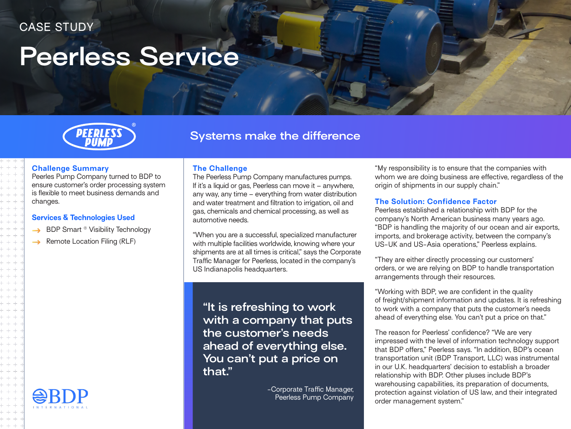# **Peerless Service**



## **Systems make the difference**

The Peerless Pump Company manufactures pumps. If it's a liquid or gas, Peerless can move it – anywhere, any way, any time – everything from water distribution and water treatment and filtration to irrigation, oil and gas, chemicals and chemical processing, as well as

**The Challenge**

automotive needs.

US Indianapolis headquarters.

### **Challenge Summary**

Peerles Pump Company turned to BDP to ensure customer's order processing system is flexible to meet business demands and changes.

#### **Services & Technologies Used**

- $\rightarrow$  BDP Smart ® Visibility Technology
- $\rightarrow$  Remote Location Filing (RLF)



"When you are a successful, specialized manufacturer with multiple facilities worldwide, knowing where your shipments are at all times is critical," says the Corporate Traffic Manager for Peerless, located in the company's

**"It is refreshing to work with a company that puts the customer's needs ahead of everything else. You can't put a price on that."**

> -Corporate Traffic Manager, Peerless Pump Company

"My responsibility is to ensure that the companies with whom we are doing business are effective, regardless of the origin of shipments in our supply chain."

#### **The Solution: Confidence Factor**

Peerless established a relationship with BDP for the company's North American business many years ago. "BDP is handling the majority of our ocean and air exports, imports, and brokerage activity, between the company's US-UK and US-Asia operations," Peerless explains.

"They are either directly processing our customers' orders, or we are relying on BDP to handle transportation arrangements through their resources.

"Working with BDP, we are confident in the quality of freight/shipment information and updates. It is refreshing to work with a company that puts the customer's needs ahead of everything else. You can't put a price on that."

The reason for Peerless' confidence? "We are very impressed with the level of information technology support that BDP offers," Peerless says. "In addition, BDP's ocean transportation unit (BDP Transport, LLC) was instrumental in our U.K. headquarters' decision to establish a broader relationship with BDP. Other pluses include BDP's warehousing capabilities, its preparation of documents, protection against violation of US law, and their integrated order management system."